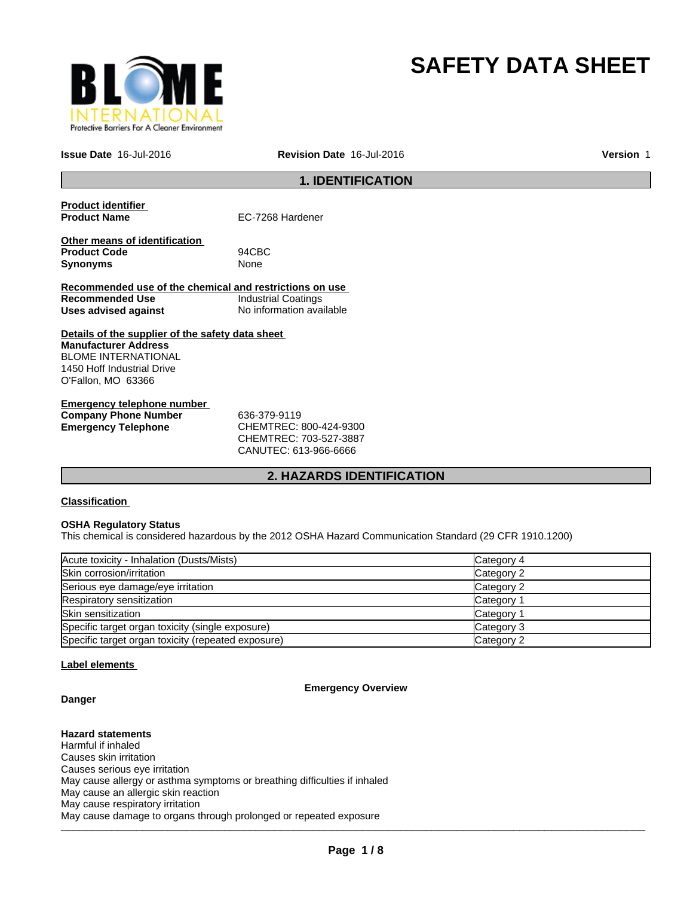

# **SAFETY DATA SHEET**

**Issue Date** 16-Jul-2016 **Revision Date** 16-Jul-2016

**Version** 1

## **1. IDENTIFICATION**

| <b>Product identifier</b><br><b>Product Name</b>                        | EC-7268 Hardener           |
|-------------------------------------------------------------------------|----------------------------|
| Other means of identification<br><b>Product Code</b><br><b>Synonyms</b> | 94CBC<br>None              |
| Recommended use of the chemical and restrictions on use                 |                            |
| Recommended Use                                                         | <b>Industrial Coatings</b> |
| Uses advised against                                                    | No information available   |
| Details of the supplier of the safety data sheet                        |                            |
| <b>Manufacturer Address</b>                                             |                            |
| <b>BLOME INTERNATIONAL</b>                                              |                            |
| 1450 Hoff Industrial Drive                                              |                            |
| O'Fallon, MO 63366                                                      |                            |
|                                                                         |                            |
|                                                                         |                            |

## **Emergency telephone number Company Phone Number** 636-379-9119 **Emergency Telephone** CHEMTREC: 800-424-9300

CHEMTREC: 703-527-3887 CANUTEC: 613-966-6666

## **2. HAZARDS IDENTIFICATION**

#### **Classification**

#### **OSHA Regulatory Status**

This chemical is considered hazardous by the 2012 OSHA Hazard Communication Standard (29 CFR 1910.1200)

| Acute toxicity - Inhalation (Dusts/Mists)          | Category 4 |
|----------------------------------------------------|------------|
| Skin corrosion/irritation                          | Category 2 |
| Serious eye damage/eye irritation                  | Category 2 |
| Respiratory sensitization                          | Category 1 |
| <b>Skin sensitization</b>                          | Category 1 |
| Specific target organ toxicity (single exposure)   | Category 3 |
| Specific target organ toxicity (repeated exposure) | Category 2 |

#### **Label elements**

#### **Emergency Overview**

## **Danger**

## **Hazard statements**

\_\_\_\_\_\_\_\_\_\_\_\_\_\_\_\_\_\_\_\_\_\_\_\_\_\_\_\_\_\_\_\_\_\_\_\_\_\_\_\_\_\_\_\_\_\_\_\_\_\_\_\_\_\_\_\_\_\_\_\_\_\_\_\_\_\_\_\_\_\_\_\_\_\_\_\_\_\_\_\_\_\_\_\_\_\_\_\_\_\_\_\_\_ Harmful if inhaled Causes skin irritation Causes serious eye irritation May cause allergy or asthma symptoms or breathing difficulties if inhaled May cause an allergic skin reaction May cause respiratory irritation May cause damage to organs through prolonged or repeated exposure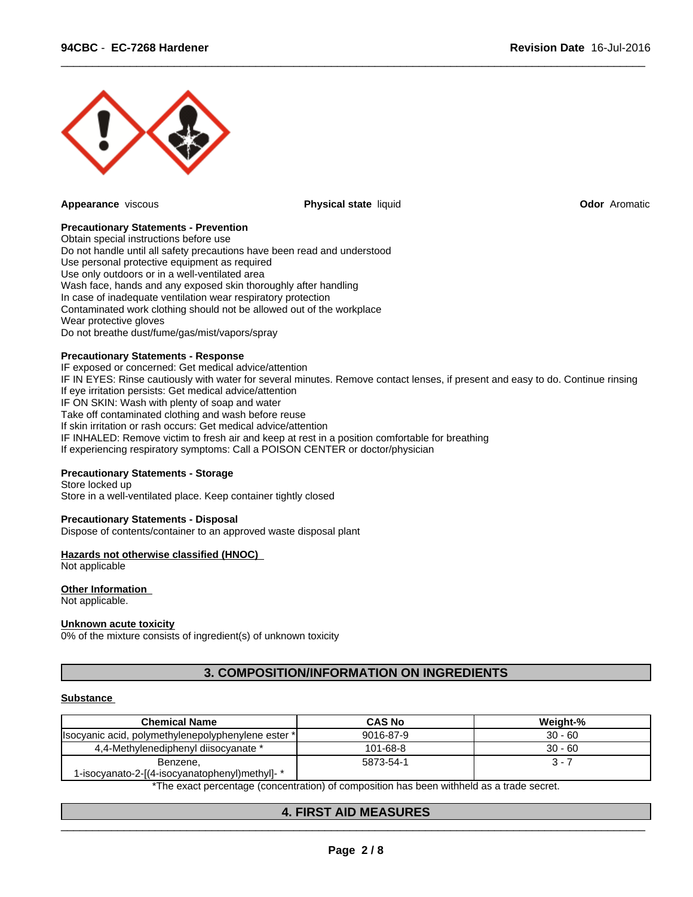

**Appearance** viscous **Physical state** liquid **Odor** Aromatic

 $\overline{\phantom{a}}$  ,  $\overline{\phantom{a}}$  ,  $\overline{\phantom{a}}$  ,  $\overline{\phantom{a}}$  ,  $\overline{\phantom{a}}$  ,  $\overline{\phantom{a}}$  ,  $\overline{\phantom{a}}$  ,  $\overline{\phantom{a}}$  ,  $\overline{\phantom{a}}$  ,  $\overline{\phantom{a}}$  ,  $\overline{\phantom{a}}$  ,  $\overline{\phantom{a}}$  ,  $\overline{\phantom{a}}$  ,  $\overline{\phantom{a}}$  ,  $\overline{\phantom{a}}$  ,  $\overline{\phantom{a}}$ 

#### **Precautionary Statements - Prevention**

Obtain special instructions before use Do not handle until all safety precautions have been read and understood Use personal protective equipment as required Use only outdoors or in a well-ventilated area Wash face, hands and any exposed skin thoroughly after handling In case of inadequate ventilation wear respiratory protection Contaminated work clothing should not be allowed out of the workplace Wear protective gloves Do not breathe dust/fume/gas/mist/vapors/spray

#### **Precautionary Statements - Response**

IF exposed or concerned: Get medical advice/attention IF IN EYES: Rinse cautiously with water for several minutes. Remove contact lenses, if present and easy to do. Continue rinsing If eye irritation persists: Get medical advice/attention IF ON SKIN: Wash with plenty of soap and water Take off contaminated clothing and wash before reuse If skin irritation or rash occurs: Get medical advice/attention IF INHALED: Remove victim to fresh air and keep at rest in a position comfortable for breathing If experiencing respiratory symptoms: Call a POISON CENTER or doctor/physician

#### **Precautionary Statements - Storage**

Store locked up Store in a well-ventilated place. Keep container tightly closed

#### **Precautionary Statements - Disposal**

Dispose of contents/container to an approved waste disposal plant

#### **Hazards not otherwise classified (HNOC)**

Not applicable

#### **Other Information**

Not applicable.

#### **Unknown acute toxicity**

0% of the mixture consists of ingredient(s) of unknown toxicity

## **3. COMPOSITION/INFORMATION ON INGREDIENTS**

#### **Substance**

| $30 - 60$<br>9016-87-9<br>Isocyanic acid, polymethylenepolyphenylene ester *I |
|-------------------------------------------------------------------------------|
|                                                                               |
| $101 - 68 - 8$<br>$30 - 60$<br>4,4-Methylenediphenyl diisocyanate *           |
| 5873-54-1<br>3 - 7<br>Benzene,                                                |
| 1-isocyanato-2-[(4-isocyanatophenyl)methyl]-*                                 |

\*The exact percentage (concentration) of composition has been withheld as a trade secret.

 $\overline{\phantom{a}}$  , and the contribution of the contribution of the contribution of the contribution of the contribution of the contribution of the contribution of the contribution of the contribution of the contribution of the

#### **4. FIRST AID MEASURES**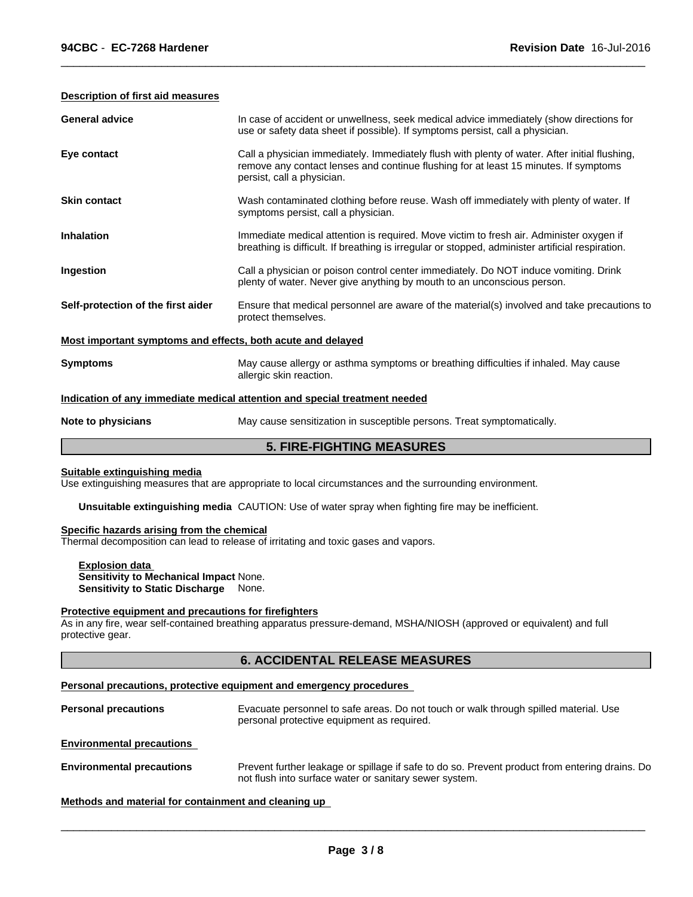#### **Description of first aid measures**

| <b>General advice</b>                                       | In case of accident or unwellness, seek medical advice immediately (show directions for<br>use or safety data sheet if possible). If symptoms persist, call a physician.                                            |
|-------------------------------------------------------------|---------------------------------------------------------------------------------------------------------------------------------------------------------------------------------------------------------------------|
| Eye contact                                                 | Call a physician immediately. Immediately flush with plenty of water. After initial flushing,<br>remove any contact lenses and continue flushing for at least 15 minutes. If symptoms<br>persist, call a physician. |
| <b>Skin contact</b>                                         | Wash contaminated clothing before reuse. Wash off immediately with plenty of water. If<br>symptoms persist, call a physician.                                                                                       |
| <b>Inhalation</b>                                           | Immediate medical attention is required. Move victim to fresh air. Administer oxygen if<br>breathing is difficult. If breathing is irregular or stopped, administer artificial respiration.                         |
| Ingestion                                                   | Call a physician or poison control center immediately. Do NOT induce vomiting. Drink<br>plenty of water. Never give anything by mouth to an unconscious person.                                                     |
| Self-protection of the first aider                          | Ensure that medical personnel are aware of the material(s) involved and take precautions to<br>protect themselves.                                                                                                  |
| Most important symptoms and effects, both acute and delayed |                                                                                                                                                                                                                     |
| <b>Symptoms</b>                                             | May cause allergy or asthma symptoms or breathing difficulties if inhaled. May cause<br>allergic skin reaction.                                                                                                     |
|                                                             | Indication of any immediate medical attention and special treatment needed                                                                                                                                          |
| Note to physicians                                          | May cause sensitization in susceptible persons. Treat symptomatically.                                                                                                                                              |

 $\overline{\phantom{a}}$  ,  $\overline{\phantom{a}}$  ,  $\overline{\phantom{a}}$  ,  $\overline{\phantom{a}}$  ,  $\overline{\phantom{a}}$  ,  $\overline{\phantom{a}}$  ,  $\overline{\phantom{a}}$  ,  $\overline{\phantom{a}}$  ,  $\overline{\phantom{a}}$  ,  $\overline{\phantom{a}}$  ,  $\overline{\phantom{a}}$  ,  $\overline{\phantom{a}}$  ,  $\overline{\phantom{a}}$  ,  $\overline{\phantom{a}}$  ,  $\overline{\phantom{a}}$  ,  $\overline{\phantom{a}}$ 

**5. FIRE-FIGHTING MEASURES**

#### **Suitable extinguishing media**

Use extinguishing measures that are appropriate to local circumstances and the surrounding environment.

**Unsuitable extinguishing media** CAUTION: Use of water spray when fighting fire may be inefficient.

#### **Specific hazards arising from the chemical**

Thermal decomposition can lead to release of irritating and toxic gases and vapors.

#### **Explosion data Sensitivity to Mechanical Impact** None. **Sensitivity to Static Discharge** None.

#### **Protective equipment and precautions for firefighters**

As in any fire, wear self-contained breathing apparatus pressure-demand, MSHA/NIOSH (approved or equivalent) and full protective gear.

## **6. ACCIDENTAL RELEASE MEASURES**

#### **Personal precautions, protective equipment and emergency procedures**

| <b>Personal precautions</b>      | Evacuate personnel to safe areas. Do not touch or walk through spilled material. Use<br>personal protective equipment as required.                       |
|----------------------------------|----------------------------------------------------------------------------------------------------------------------------------------------------------|
| <b>Environmental precautions</b> |                                                                                                                                                          |
| <b>Environmental precautions</b> | Prevent further leakage or spillage if safe to do so. Prevent product from entering drains. Do<br>not flush into surface water or sanitary sewer system. |

**Methods and material for containment and cleaning up**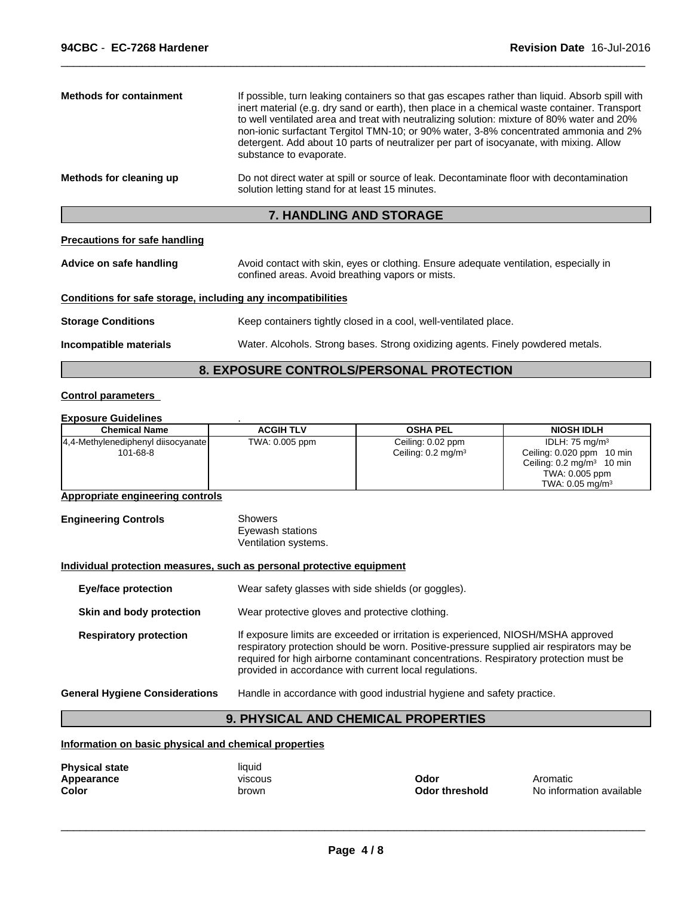| Do not direct water at spill or source of leak. Decontaminate floor with decontamination<br>Methods for cleaning up<br>solution letting stand for at least 15 minutes. | <b>Methods for containment</b> | If possible, turn leaking containers so that gas escapes rather than liquid. Absorb spill with<br>inert material (e.g. dry sand or earth), then place in a chemical waste container. Transport<br>to well ventilated area and treat with neutralizing solution: mixture of 80% water and 20%<br>non-ionic surfactant Tergitol TMN-10; or 90% water, 3-8% concentrated ammonia and 2%<br>detergent. Add about 10 parts of neutralizer per part of isocyanate, with mixing. Allow<br>substance to evaporate. |
|------------------------------------------------------------------------------------------------------------------------------------------------------------------------|--------------------------------|------------------------------------------------------------------------------------------------------------------------------------------------------------------------------------------------------------------------------------------------------------------------------------------------------------------------------------------------------------------------------------------------------------------------------------------------------------------------------------------------------------|
|                                                                                                                                                                        |                                |                                                                                                                                                                                                                                                                                                                                                                                                                                                                                                            |

 $\overline{\phantom{a}}$  ,  $\overline{\phantom{a}}$  ,  $\overline{\phantom{a}}$  ,  $\overline{\phantom{a}}$  ,  $\overline{\phantom{a}}$  ,  $\overline{\phantom{a}}$  ,  $\overline{\phantom{a}}$  ,  $\overline{\phantom{a}}$  ,  $\overline{\phantom{a}}$  ,  $\overline{\phantom{a}}$  ,  $\overline{\phantom{a}}$  ,  $\overline{\phantom{a}}$  ,  $\overline{\phantom{a}}$  ,  $\overline{\phantom{a}}$  ,  $\overline{\phantom{a}}$  ,  $\overline{\phantom{a}}$ 

## **7. HANDLING AND STORAGE**

#### **Precautions for safe handling**

| Advice on safe handling                                      | Avoid contact with skin, eyes or clothing. Ensure adequate ventilation, especially in<br>confined areas. Avoid breathing vapors or mists. |
|--------------------------------------------------------------|-------------------------------------------------------------------------------------------------------------------------------------------|
| Conditions for safe storage, including any incompatibilities |                                                                                                                                           |
| <b>Storage Conditions</b>                                    | Keep containers tightly closed in a cool, well-ventilated place.                                                                          |
| Incompatible materials                                       | Water. Alcohols. Strong bases. Strong oxidizing agents. Finely powdered metals.                                                           |

## **8. EXPOSURE CONTROLS/PERSONAL PROTECTION**

## **Control parameters**

#### **Exposure Guidelines** .

| <b>Chemical Name</b>                 | <b>ACGIH TLV</b> | <b>OSHA PEL</b>               | <b>NIOSH IDLH</b>                    |
|--------------------------------------|------------------|-------------------------------|--------------------------------------|
| [4,4-Methylenediphenyl diisocyanate] | TWA: 0.005 ppm   | Ceiling: 0.02 ppm             | IDLH: 75 mg/m $3$                    |
| 101-68-8                             |                  | Ceiling: $0.2 \text{ mg/m}^3$ | Ceiling: 0.020 ppm<br>10 min         |
|                                      |                  |                               | Ceiling: $0.2 \text{ mg/m}^3$ 10 min |
|                                      |                  |                               | TWA: 0.005 ppm                       |
|                                      |                  |                               | TWA: $0.05$ mg/m <sup>3</sup>        |

#### **Appropriate engineering controls**

**Engineering Controls** Showers Eyewash stations Ventilation systems.

#### **Individual protection measures, such as personal protective equipment**

| Wear safety glasses with side shields (or goggles).                                                                                                                                                                                                                                                                              |
|----------------------------------------------------------------------------------------------------------------------------------------------------------------------------------------------------------------------------------------------------------------------------------------------------------------------------------|
| Wear protective gloves and protective clothing.                                                                                                                                                                                                                                                                                  |
| If exposure limits are exceeded or irritation is experienced, NIOSH/MSHA approved<br>respiratory protection should be worn. Positive-pressure supplied air respirators may be<br>required for high airborne contaminant concentrations. Respiratory protection must be<br>provided in accordance with current local regulations. |
| Handle in accordance with good industrial hygiene and safety practice.                                                                                                                                                                                                                                                           |
|                                                                                                                                                                                                                                                                                                                                  |

## **9. PHYSICAL AND CHEMICAL PROPERTIES**

#### **Information on basic physical and chemical properties**

| <b>Odor threshold</b> |
|-----------------------|
|                       |

**d** No information available **Odor** Aromatic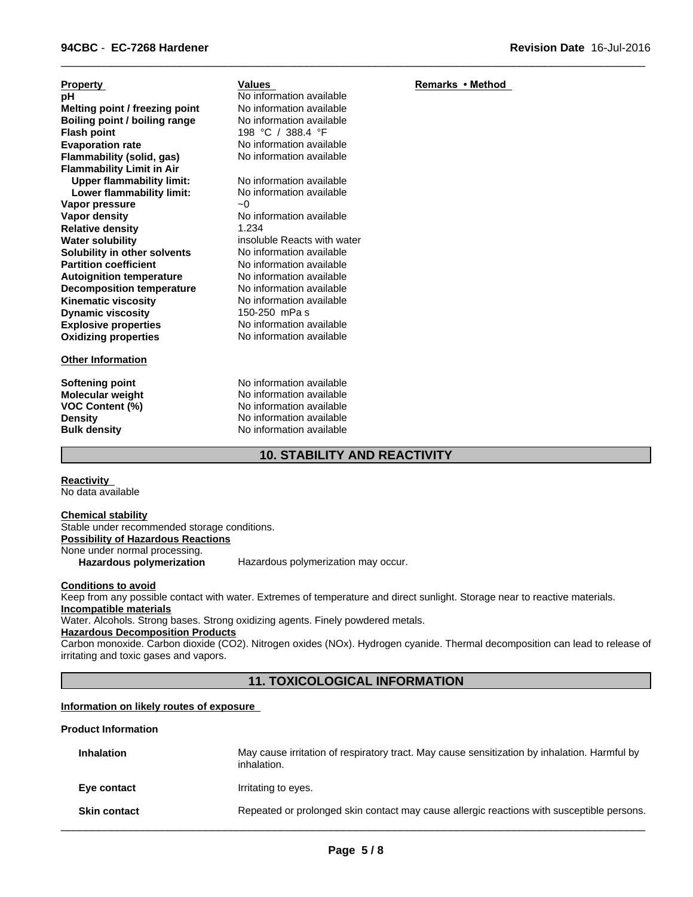| <b>Property</b>                  | Values                      | Remarks • Method |
|----------------------------------|-----------------------------|------------------|
| рH                               | No information available    |                  |
| Melting point / freezing point   | No information available    |                  |
| Boiling point / boiling range    | No information available    |                  |
| <b>Flash point</b>               | 198 °C / 388.4 °F           |                  |
| <b>Evaporation rate</b>          | No information available    |                  |
| Flammability (solid, gas)        | No information available    |                  |
| <b>Flammability Limit in Air</b> |                             |                  |
| <b>Upper flammability limit:</b> | No information available    |                  |
| Lower flammability limit:        | No information available    |                  |
| Vapor pressure                   | $-0$                        |                  |
| Vapor density                    | No information available    |                  |
| <b>Relative density</b>          | 1.234                       |                  |
| <b>Water solubility</b>          | insoluble Reacts with water |                  |
| Solubility in other solvents     | No information available    |                  |
| <b>Partition coefficient</b>     | No information available    |                  |
| <b>Autoignition temperature</b>  | No information available    |                  |
| <b>Decomposition temperature</b> | No information available    |                  |
| <b>Kinematic viscosity</b>       | No information available    |                  |
| <b>Dynamic viscosity</b>         | 150-250 mPa s               |                  |
| <b>Explosive properties</b>      | No information available    |                  |
| <b>Oxidizing properties</b>      | No information available    |                  |
| <b>Other Information</b>         |                             |                  |

**Softening point** No information available **Molecular weight** No information available **VOC Content (%)** No information available **Density Density Density Bulk density Research American** No information available **No information available** 

## **10. STABILITY AND REACTIVITY**

 $\overline{\phantom{a}}$  ,  $\overline{\phantom{a}}$  ,  $\overline{\phantom{a}}$  ,  $\overline{\phantom{a}}$  ,  $\overline{\phantom{a}}$  ,  $\overline{\phantom{a}}$  ,  $\overline{\phantom{a}}$  ,  $\overline{\phantom{a}}$  ,  $\overline{\phantom{a}}$  ,  $\overline{\phantom{a}}$  ,  $\overline{\phantom{a}}$  ,  $\overline{\phantom{a}}$  ,  $\overline{\phantom{a}}$  ,  $\overline{\phantom{a}}$  ,  $\overline{\phantom{a}}$  ,  $\overline{\phantom{a}}$ 

**Reactivity**  No data available

**Chemical stability** Stable under recommended storage conditions. **Possibility of Hazardous Reactions**

None under normal processing.

**Hazardous polymerization** Hazardous polymerization may occur.

#### **Conditions to avoid**

Keep from any possible contact with water. Extremes of temperature and direct sunlight. Storage near to reactive materials. **Incompatible materials**

Water. Alcohols. Strong bases. Strong oxidizing agents. Finely powdered metals.

## **Hazardous Decomposition Products**

Carbon monoxide. Carbon dioxide (CO2). Nitrogen oxides (NOx). Hydrogen cyanide. Thermal decomposition can lead to release of irritating and toxic gases and vapors.

## **11. TOXICOLOGICAL INFORMATION**

#### **Information on likely routes of exposure**

#### **Product Information**

| <b>Inhalation</b>   | May cause irritation of respiratory tract. May cause sensitization by inhalation. Harmful by<br>inhalation. |
|---------------------|-------------------------------------------------------------------------------------------------------------|
| Eye contact         | Irritating to eyes.                                                                                         |
| <b>Skin contact</b> | Repeated or prolonged skin contact may cause allergic reactions with susceptible persons.                   |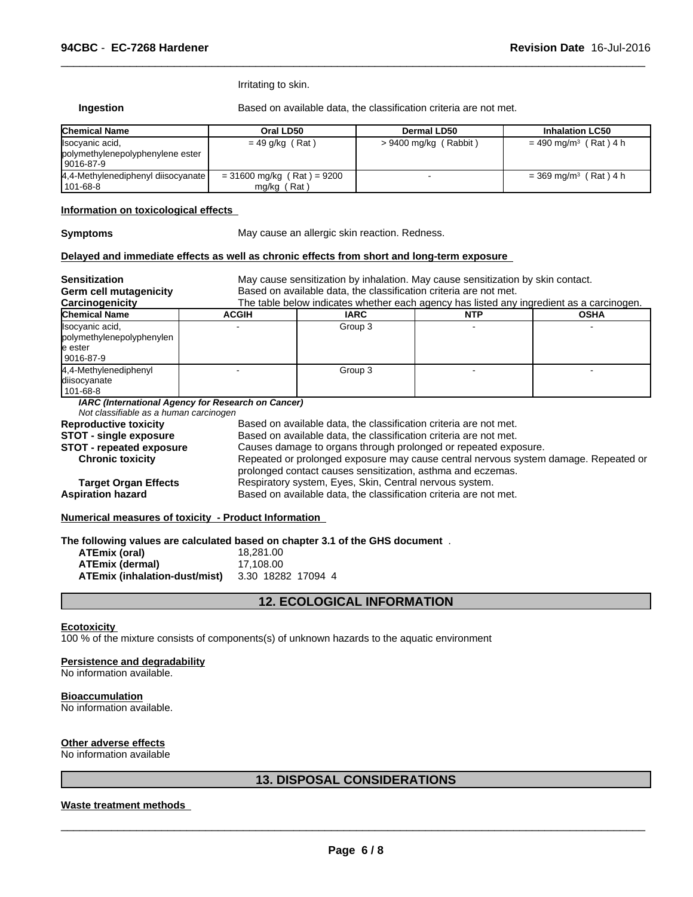Irritating to skin.

**Ingestion** Based on available data, the classification criteria are not met.

 $\overline{\phantom{a}}$  ,  $\overline{\phantom{a}}$  ,  $\overline{\phantom{a}}$  ,  $\overline{\phantom{a}}$  ,  $\overline{\phantom{a}}$  ,  $\overline{\phantom{a}}$  ,  $\overline{\phantom{a}}$  ,  $\overline{\phantom{a}}$  ,  $\overline{\phantom{a}}$  ,  $\overline{\phantom{a}}$  ,  $\overline{\phantom{a}}$  ,  $\overline{\phantom{a}}$  ,  $\overline{\phantom{a}}$  ,  $\overline{\phantom{a}}$  ,  $\overline{\phantom{a}}$  ,  $\overline{\phantom{a}}$ 

| <b>Chemical Name</b>                                               | Oral LD50                                     | Dermal LD50           | <b>Inhalation LC50</b>              |
|--------------------------------------------------------------------|-----------------------------------------------|-----------------------|-------------------------------------|
| Isocyanic acid,<br>polymethylenepolyphenylene ester<br>  9016-87-9 | $= 49$ g/kg (Rat)                             | > 9400 mg/kg (Rabbit) | $= 490$ mg/m <sup>3</sup> (Rat) 4 h |
| 4,4-Methylenediphenyl diisocyanate<br>101-68-8                     | $= 31600$ mg/kg (Rat) = 9200<br>$mg/kg$ (Rat) |                       | $=$ 369 mg/m <sup>3</sup> (Rat) 4 h |

#### **Information on toxicological effects**

**Symptoms** May cause an allergic skin reaction. Redness.

#### **Delayed and immediate effects as well as chronic effects from short and long-term exposure**

| <b>Sensitization</b><br><b>Germ cell mutagenicity</b>                   | May cause sensitization by inhalation. May cause sensitization by skin contact.<br>Based on available data, the classification criteria are not met. |                                                                                          |            |             |  |
|-------------------------------------------------------------------------|------------------------------------------------------------------------------------------------------------------------------------------------------|------------------------------------------------------------------------------------------|------------|-------------|--|
| Carcinogenicity                                                         |                                                                                                                                                      | The table below indicates whether each agency has listed any ingredient as a carcinogen. |            |             |  |
| <b>Chemical Name</b>                                                    | <b>ACGIH</b>                                                                                                                                         | <b>IARC</b>                                                                              | <b>NTP</b> | <b>OSHA</b> |  |
| Isocyanic acid,<br>polymethylenepolyphenylen<br>le ester<br>l 9016-87-9 |                                                                                                                                                      | Group 3                                                                                  |            |             |  |
| 4.4-Methylenediphenyl<br>diisocyanate<br>  101-68-8                     |                                                                                                                                                      | Group 3                                                                                  |            |             |  |
| Not classifiable as a human carcinogen                                  | IARC (International Agency for Research on Cancer)                                                                                                   |                                                                                          |            |             |  |
| <b>Reproductive toxicity</b>                                            |                                                                                                                                                      | Based on available data, the classification criteria are not met.                        |            |             |  |
| <b>STOT - single exposure</b>                                           |                                                                                                                                                      | Based on available data, the classification criteria are not met.                        |            |             |  |
| <b>STOT - repeated exposure</b>                                         |                                                                                                                                                      | Causes damage to organs through prolonged or repeated exposure.                          |            |             |  |
| <b>Chronic toxicity</b>                                                 | Repeated or prolonged exposure may cause central nervous system damage. Repeated or<br>prolonged contact causes sensitization, asthma and eczemas.   |                                                                                          |            |             |  |
| <b>Target Organ Effects</b>                                             | Respiratory system, Eyes, Skin, Central nervous system.                                                                                              |                                                                                          |            |             |  |
| <b>Aspiration hazard</b>                                                | Based on available data, the classification criteria are not met.                                                                                    |                                                                                          |            |             |  |

**Numerical measures of toxicity - Product Information** 

**The following values are calculated based on chapter 3.1 of the GHS document** .

| ATEmix (oral)                 | 18.281.00          |
|-------------------------------|--------------------|
| <b>ATEmix (dermal)</b>        | 17.108.00          |
| ATEmix (inhalation-dust/mist) | 3.30 18282 17094 4 |

#### **12. ECOLOGICAL INFORMATION**

#### **Ecotoxicity**

100 % of the mixture consists of components(s) of unknown hazards to the aquatic environment

#### **Persistence and degradability**

No information available.

#### **Bioaccumulation**

No information available.

#### **Other adverse effects**

No information available

## **13. DISPOSAL CONSIDERATIONS**

#### **Waste treatment methods**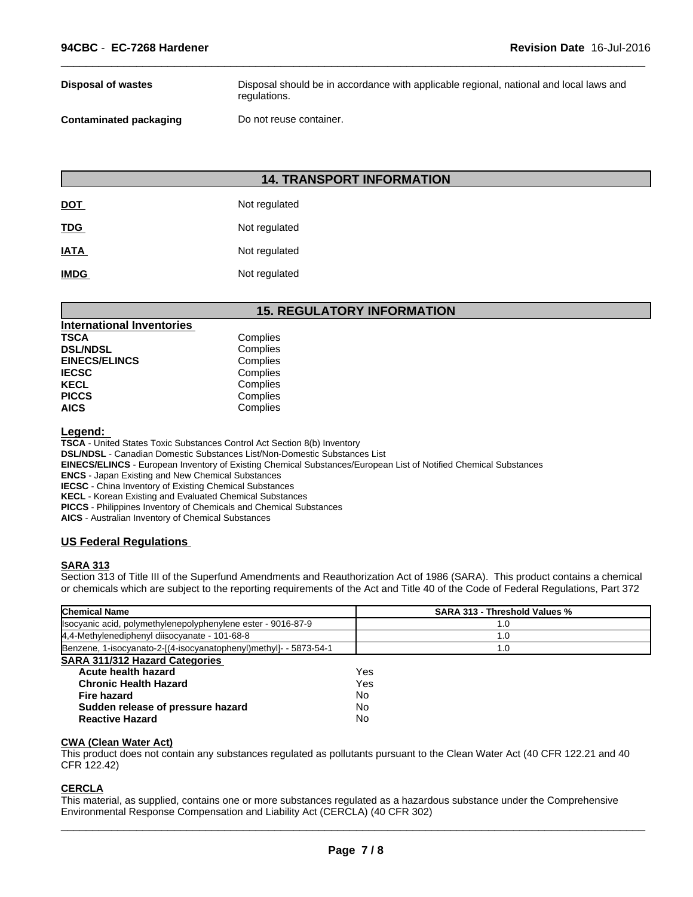| <b>Disposal of wastes</b>     | Disposal should be in accordance with applicable regional, national and local laws and<br>regulations. |
|-------------------------------|--------------------------------------------------------------------------------------------------------|
| <b>Contaminated packaging</b> | Do not reuse container.                                                                                |

 $\overline{\phantom{a}}$  ,  $\overline{\phantom{a}}$  ,  $\overline{\phantom{a}}$  ,  $\overline{\phantom{a}}$  ,  $\overline{\phantom{a}}$  ,  $\overline{\phantom{a}}$  ,  $\overline{\phantom{a}}$  ,  $\overline{\phantom{a}}$  ,  $\overline{\phantom{a}}$  ,  $\overline{\phantom{a}}$  ,  $\overline{\phantom{a}}$  ,  $\overline{\phantom{a}}$  ,  $\overline{\phantom{a}}$  ,  $\overline{\phantom{a}}$  ,  $\overline{\phantom{a}}$  ,  $\overline{\phantom{a}}$ 

## **14. TRANSPORT INFORMATION**

| <b>DOT</b>  | Not regulated |
|-------------|---------------|
| <b>TDG</b>  | Not regulated |
| <b>IATA</b> | Not regulated |
| <b>IMDG</b> | Not regulated |

## **15. REGULATORY INFORMATION**

| <b>International Inventories</b> |          |
|----------------------------------|----------|
| TSCA                             | Complies |
| <b>DSL/NDSL</b>                  | Complies |
| <b>EINECS/ELINCS</b>             | Complies |
| IECSC                            | Complies |
| KECL                             | Complies |
| PICCS                            | Complies |
| AICS                             | Complies |
|                                  |          |

**Legend:** 

**TSCA** - United States Toxic Substances Control Act Section 8(b) Inventory

**DSL/NDSL** - Canadian Domestic Substances List/Non-Domestic Substances List

**EINECS/ELINCS** - European Inventory of Existing Chemical Substances/European List of Notified Chemical Substances

**ENCS** - Japan Existing and New Chemical Substances

**IECSC** - China Inventory of Existing Chemical Substances

**KECL** - Korean Existing and Evaluated Chemical Substances

**PICCS** - Philippines Inventory of Chemicals and Chemical Substances

**AICS** - Australian Inventory of Chemical Substances

#### **US Federal Regulations**

#### **SARA 313**

Section 313 of Title III of the Superfund Amendments and Reauthorization Act of 1986 (SARA). This product contains a chemical or chemicals which are subject to the reporting requirements of the Act and Title 40 of the Code of Federal Regulations, Part 372

| <b>Chemical Name</b>                                              | <b>SARA 313 - Threshold Values %</b> |  |
|-------------------------------------------------------------------|--------------------------------------|--|
| Isocyanic acid, polymethylenepolyphenylene ester - 9016-87-9      | 1.0                                  |  |
| 4,4-Methylenediphenyl diisocyanate - 101-68-8                     | 1.0                                  |  |
| Benzene, 1-isocyanato-2-[(4-isocyanatophenyl)methyl]- - 5873-54-1 | 1.0                                  |  |
| <b>SARA 311/312 Hazard Categories</b>                             |                                      |  |
| Acute health hazard                                               | Yes                                  |  |
| <b>Chronic Health Hazard</b>                                      | Yes                                  |  |
| <b>Fire hazard</b>                                                | No                                   |  |
| Sudden release of pressure hazard                                 | No                                   |  |
| <b>Reactive Hazard</b>                                            | No                                   |  |

#### **CWA (Clean Water Act)**

This product does not contain any substances regulated as pollutants pursuant to the Clean Water Act (40 CFR 122.21 and 40 CFR 122.42)

#### **CERCLA**

This material, as supplied, contains one or more substances regulated as a hazardous substance under the Comprehensive Environmental Response Compensation and Liability Act (CERCLA) (40 CFR 302)